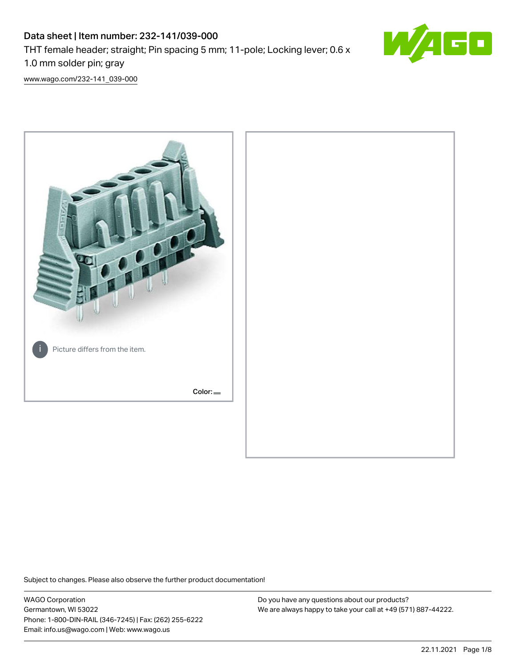# Data sheet | Item number: 232-141/039-000 THT female header; straight; Pin spacing 5 mm; 11-pole; Locking lever; 0.6 x 1.0 mm solder pin; gray



[www.wago.com/232-141\\_039-000](http://www.wago.com/232-141_039-000)



Subject to changes. Please also observe the further product documentation!

WAGO Corporation Germantown, WI 53022 Phone: 1-800-DIN-RAIL (346-7245) | Fax: (262) 255-6222 Email: info.us@wago.com | Web: www.wago.us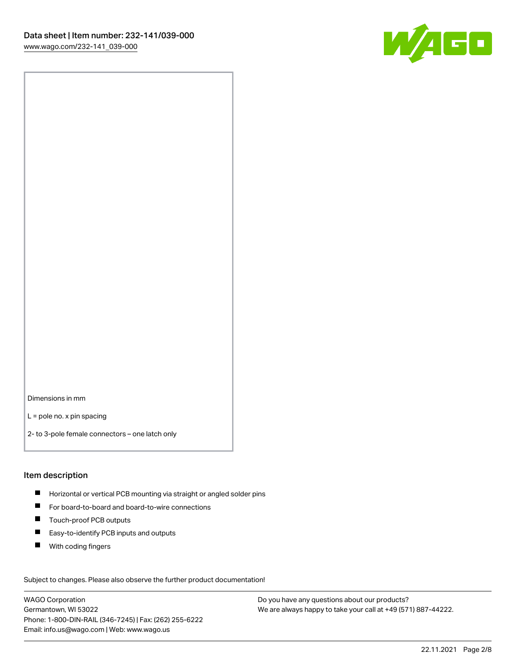

Dimensions in mm

L = pole no. x pin spacing

2- to 3-pole female connectors – one latch only

#### Item description

- **Horizontal or vertical PCB mounting via straight or angled solder pins**
- For board-to-board and board-to-wire connections
- Touch-proof PCB outputs  $\blacksquare$
- $\blacksquare$ Easy-to-identify PCB inputs and outputs
- $\blacksquare$ With coding fingers

Subject to changes. Please also observe the further product documentation! Data

WAGO Corporation Germantown, WI 53022 Phone: 1-800-DIN-RAIL (346-7245) | Fax: (262) 255-6222 Email: info.us@wago.com | Web: www.wago.us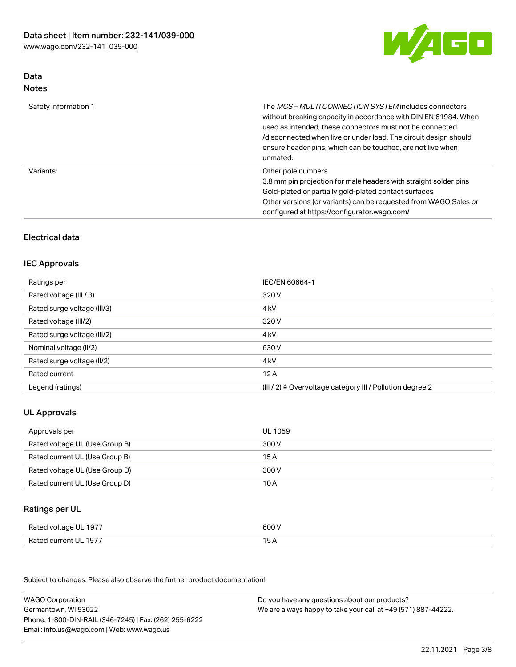

# Data Notes

| Safety information 1 | The <i>MCS - MULTI CONNECTION SYSTEM</i> includes connectors<br>without breaking capacity in accordance with DIN EN 61984. When<br>used as intended, these connectors must not be connected<br>/disconnected when live or under load. The circuit design should<br>ensure header pins, which can be touched, are not live when<br>unmated. |
|----------------------|--------------------------------------------------------------------------------------------------------------------------------------------------------------------------------------------------------------------------------------------------------------------------------------------------------------------------------------------|
| Variants:            | Other pole numbers<br>3.8 mm pin projection for male headers with straight solder pins<br>Gold-plated or partially gold-plated contact surfaces<br>Other versions (or variants) can be requested from WAGO Sales or<br>configured at https://configurator.wago.com/                                                                        |

# Electrical data

#### IEC Approvals

| Ratings per                 | IEC/EN 60664-1                                                        |
|-----------------------------|-----------------------------------------------------------------------|
| Rated voltage (III / 3)     | 320 V                                                                 |
| Rated surge voltage (III/3) | 4 <sub>k</sub> V                                                      |
| Rated voltage (III/2)       | 320 V                                                                 |
| Rated surge voltage (III/2) | 4 <sub>k</sub> V                                                      |
| Nominal voltage (II/2)      | 630 V                                                                 |
| Rated surge voltage (II/2)  | 4 <sub>k</sub> V                                                      |
| Rated current               | 12A                                                                   |
| Legend (ratings)            | $(III / 2)$ $\triangle$ Overvoltage category III / Pollution degree 2 |

# UL Approvals

| Approvals per                  | UL 1059 |
|--------------------------------|---------|
| Rated voltage UL (Use Group B) | 300 V   |
| Rated current UL (Use Group B) | 15 A    |
| Rated voltage UL (Use Group D) | 300 V   |
| Rated current UL (Use Group D) | 10 A    |

# Ratings per UL

| Rated voltage UL 1977 | 600 V |
|-----------------------|-------|
| Rated current UL 1977 |       |

Subject to changes. Please also observe the further product documentation!

| <b>WAGO Corporation</b>                                | Do you have any questions about our products?                 |
|--------------------------------------------------------|---------------------------------------------------------------|
| Germantown, WI 53022                                   | We are always happy to take your call at +49 (571) 887-44222. |
| Phone: 1-800-DIN-RAIL (346-7245)   Fax: (262) 255-6222 |                                                               |
| Email: info.us@wago.com   Web: www.wago.us             |                                                               |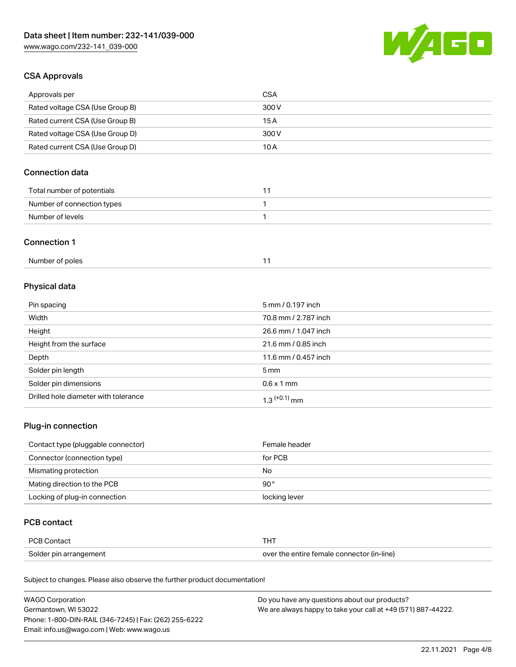

# CSA Approvals

| Approvals per                   | CSA   |
|---------------------------------|-------|
| Rated voltage CSA (Use Group B) | 300 V |
| Rated current CSA (Use Group B) | 15 A  |
| Rated voltage CSA (Use Group D) | 300 V |
| Rated current CSA (Use Group D) | 10 A  |

# Connection data

| Total number of potentials |  |
|----------------------------|--|
| Number of connection types |  |
| Number of levels           |  |

#### Connection 1

# Physical data

| Pin spacing                          | 5 mm / 0.197 inch    |
|--------------------------------------|----------------------|
| Width                                | 70.8 mm / 2.787 inch |
| Height                               | 26.6 mm / 1.047 inch |
| Height from the surface              | 21.6 mm / 0.85 inch  |
| Depth                                | 11.6 mm / 0.457 inch |
| Solder pin length                    | $5 \text{ mm}$       |
| Solder pin dimensions                | $0.6 \times 1$ mm    |
| Drilled hole diameter with tolerance | $1.3$ $(+0.1)$ mm    |

# Plug-in connection

| Contact type (pluggable connector) | Female header |
|------------------------------------|---------------|
| Connector (connection type)        | for PCB       |
| Mismating protection               | No            |
| Mating direction to the PCB        | 90 $^{\circ}$ |
| Locking of plug-in connection      | locking lever |

## PCB contact

| PCB Contact            | THT                                        |
|------------------------|--------------------------------------------|
| Solder pin arrangement | over the entire female connector (in-line) |

Subject to changes. Please also observe the further product documentation!

| <b>WAGO Corporation</b>                                | Do you have any questions about our products?                 |
|--------------------------------------------------------|---------------------------------------------------------------|
| Germantown, WI 53022                                   | We are always happy to take your call at +49 (571) 887-44222. |
| Phone: 1-800-DIN-RAIL (346-7245)   Fax: (262) 255-6222 |                                                               |
| Email: info.us@wago.com   Web: www.wago.us             |                                                               |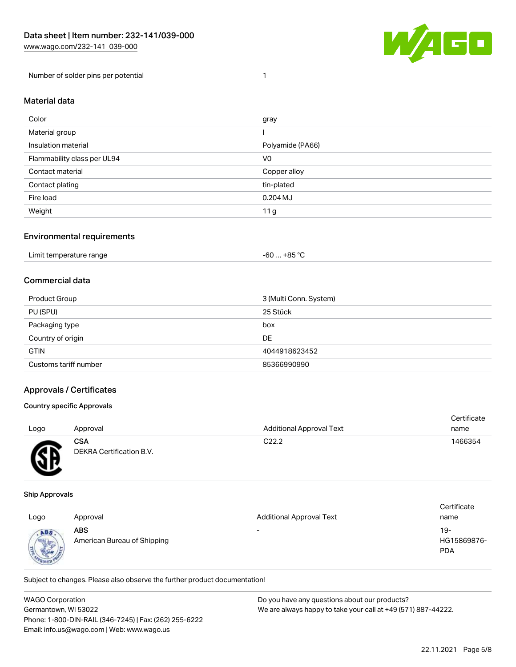

Number of solder pins per potential 1

#### Material data

| Color                       | gray             |
|-----------------------------|------------------|
| Material group              |                  |
| Insulation material         | Polyamide (PA66) |
| Flammability class per UL94 | V <sub>0</sub>   |
| Contact material            | Copper alloy     |
| Contact plating             | tin-plated       |
| Fire load                   | $0.204$ MJ       |
| Weight                      | 11 g             |

#### Environmental requirements

| Limit temperature range<br>. +85 °Ր<br>-60<br>.<br>. |  |
|------------------------------------------------------|--|
|------------------------------------------------------|--|

# Commercial data

| Product Group         | 3 (Multi Conn. System) |
|-----------------------|------------------------|
| PU (SPU)              | 25 Stück               |
| Packaging type        | box                    |
| Country of origin     | DE                     |
| <b>GTIN</b>           | 4044918623452          |
| Customs tariff number | 85366990990            |

#### Approvals / Certificates

#### Country specific Approvals

| Logo | Approval                        | <b>Additional Approval Text</b> | Certificate<br>name |
|------|---------------------------------|---------------------------------|---------------------|
| Æ    | CSA<br>DEKRA Certification B.V. | C <sub>22.2</sub>               | 1466354             |

#### Ship Approvals

w

| Logo                                  | Approval                                  | <b>Additional Approval Text</b> | Certificate<br>name              |
|---------------------------------------|-------------------------------------------|---------------------------------|----------------------------------|
| ABS<br><b>Columns</b><br><b>ROVEL</b> | <b>ABS</b><br>American Bureau of Shipping | $\overline{\phantom{0}}$        | 19-<br>HG15869876-<br><b>PDA</b> |

Subject to changes. Please also observe the further product documentation!

| <b>WAGO Corporation</b>                                | Do you have any questions about our products?                 |  |
|--------------------------------------------------------|---------------------------------------------------------------|--|
| Germantown, WI 53022                                   | We are always happy to take your call at +49 (571) 887-44222. |  |
| Phone: 1-800-DIN-RAIL (346-7245)   Fax: (262) 255-6222 |                                                               |  |
| Email: info.us@wago.com   Web: www.wago.us             |                                                               |  |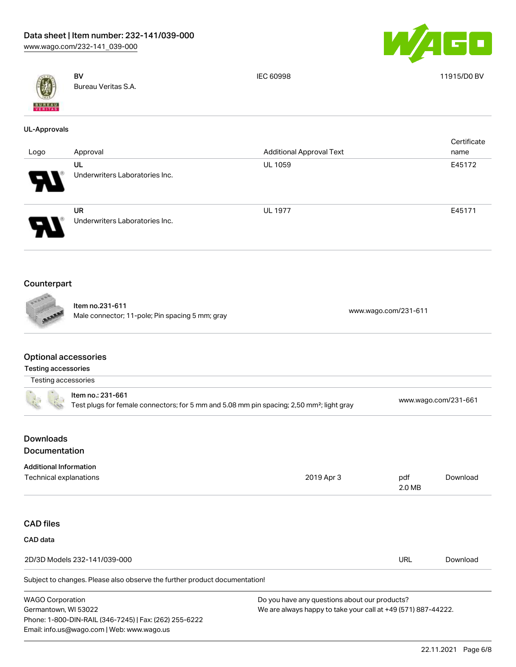Phone: 1-800-DIN-RAIL (346-7245) | Fax: (262) 255-6222

Email: info.us@wago.com | Web: www.wago.us



|                                                           | <b>BV</b><br>Bureau Veritas S.A.                                                                                           | <b>IEC 60998</b>                                                                                               |               | 11915/D0 BV          |  |
|-----------------------------------------------------------|----------------------------------------------------------------------------------------------------------------------------|----------------------------------------------------------------------------------------------------------------|---------------|----------------------|--|
| <b>UL-Approvals</b>                                       |                                                                                                                            |                                                                                                                |               |                      |  |
| Logo                                                      | Approval                                                                                                                   | <b>Additional Approval Text</b>                                                                                |               | Certificate<br>name  |  |
|                                                           | UL                                                                                                                         | <b>UL 1059</b>                                                                                                 |               | E45172               |  |
|                                                           | Underwriters Laboratories Inc.                                                                                             |                                                                                                                |               |                      |  |
|                                                           | <b>UR</b><br>Underwriters Laboratories Inc.                                                                                | <b>UL 1977</b>                                                                                                 |               | E45171               |  |
| Counterpart                                               |                                                                                                                            |                                                                                                                |               |                      |  |
|                                                           |                                                                                                                            |                                                                                                                |               |                      |  |
|                                                           | Item no.231-611<br>Male connector; 11-pole; Pin spacing 5 mm; gray                                                         | www.wago.com/231-611                                                                                           |               |                      |  |
| <b>Optional accessories</b><br><b>Testing accessories</b> |                                                                                                                            |                                                                                                                |               |                      |  |
| Testing accessories                                       |                                                                                                                            |                                                                                                                |               |                      |  |
|                                                           | Item no.: 231-661<br>Test plugs for female connectors; for 5 mm and 5.08 mm pin spacing; 2,50 mm <sup>2</sup> ; light gray |                                                                                                                |               | www.wago.com/231-661 |  |
| <b>Downloads</b><br>Documentation                         |                                                                                                                            |                                                                                                                |               |                      |  |
| <b>Additional Information</b><br>Technical explanations   |                                                                                                                            | 2019 Apr 3                                                                                                     | pdf<br>2.0 MB | Download             |  |
| <b>CAD files</b>                                          |                                                                                                                            |                                                                                                                |               |                      |  |
| CAD data                                                  |                                                                                                                            |                                                                                                                |               |                      |  |
|                                                           | 2D/3D Models 232-141/039-000                                                                                               |                                                                                                                | <b>URL</b>    | Download             |  |
|                                                           | Subject to changes. Please also observe the further product documentation!                                                 |                                                                                                                |               |                      |  |
| <b>WAGO Corporation</b><br>Germantown, WI 53022           |                                                                                                                            | Do you have any questions about our products?<br>We are always happy to take your call at +49 (571) 887-44222. |               |                      |  |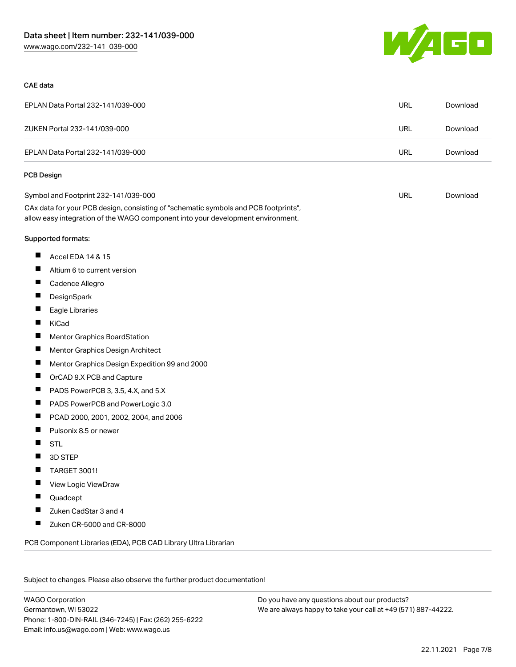

#### CAE data

| EPLAN Data Portal 232-141/039-000                                                                                                                                      | <b>URL</b> | Download |
|------------------------------------------------------------------------------------------------------------------------------------------------------------------------|------------|----------|
| ZUKEN Portal 232-141/039-000                                                                                                                                           | <b>URL</b> | Download |
| EPLAN Data Portal 232-141/039-000                                                                                                                                      | <b>URL</b> | Download |
| <b>PCB Design</b>                                                                                                                                                      |            |          |
| Symbol and Footprint 232-141/039-000                                                                                                                                   | URL        | Download |
| CAx data for your PCB design, consisting of "schematic symbols and PCB footprints",<br>allow easy integration of the WAGO component into your development environment. |            |          |
| Supported formats:                                                                                                                                                     |            |          |
| ш<br>Accel EDA 14 & 15                                                                                                                                                 |            |          |
| ш<br>Altium 6 to current version                                                                                                                                       |            |          |
| П<br>Cadence Allegro                                                                                                                                                   |            |          |
| ш<br>DesignSpark                                                                                                                                                       |            |          |
| ш<br>Eagle Libraries                                                                                                                                                   |            |          |
| Ш<br>KiCad                                                                                                                                                             |            |          |
| ш<br>Mentor Graphics BoardStation                                                                                                                                      |            |          |
| ш<br>Mentor Graphics Design Architect                                                                                                                                  |            |          |
| ш<br>Mentor Graphics Design Expedition 99 and 2000                                                                                                                     |            |          |
| ш<br>OrCAD 9.X PCB and Capture                                                                                                                                         |            |          |
| ш<br>PADS PowerPCB 3, 3.5, 4.X, and 5.X                                                                                                                                |            |          |
| ш<br>PADS PowerPCB and PowerLogic 3.0                                                                                                                                  |            |          |
| ш<br>PCAD 2000, 2001, 2002, 2004, and 2006                                                                                                                             |            |          |
| П<br>Pulsonix 8.5 or newer                                                                                                                                             |            |          |
| ш<br><b>STL</b>                                                                                                                                                        |            |          |
| 3D STEP                                                                                                                                                                |            |          |
| ×<br>TARGET 3001!                                                                                                                                                      |            |          |
| View Logic ViewDraw                                                                                                                                                    |            |          |
| Quadcept                                                                                                                                                               |            |          |
| Zuken CadStar 3 and 4                                                                                                                                                  |            |          |
| Zuken CR-5000 and CR-8000                                                                                                                                              |            |          |
| PCB Component Libraries (EDA), PCB CAD Library Ultra Librarian                                                                                                         |            |          |

Subject to changes. Please also observe the further product documentation!

WAGO Corporation Germantown, WI 53022 Phone: 1-800-DIN-RAIL (346-7245) | Fax: (262) 255-6222 Email: info.us@wago.com | Web: www.wago.us